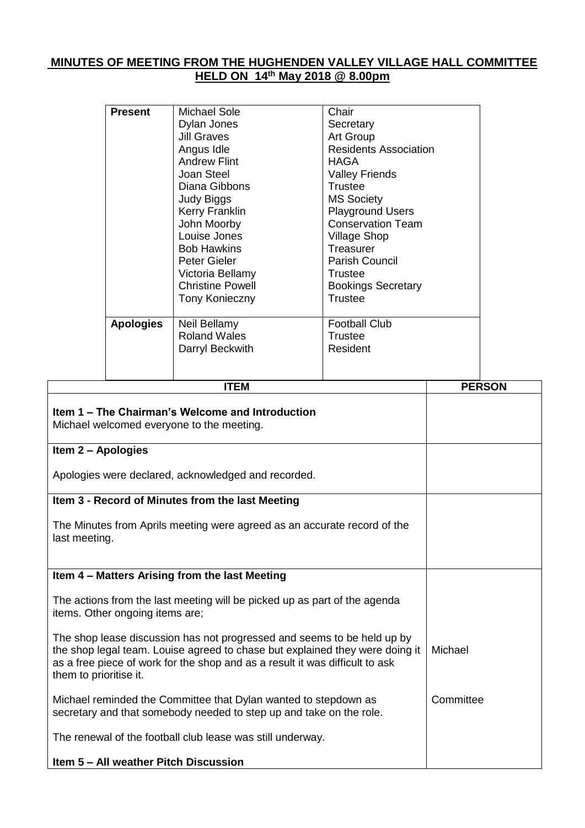# **MINUTES OF MEETING FROM THE HUGHENDEN VALLEY VILLAGE HALL COMMITTEE HELD ON 14th May 2018 @ 8.00pm**

|                                                                                                                                                                                                                                                                   | <b>Present</b>   | <b>Michael Sole</b><br>Dylan Jones<br><b>Jill Graves</b><br>Angus Idle<br><b>Andrew Flint</b><br>Joan Steel<br>Diana Gibbons<br><b>Judy Biggs</b><br>Kerry Franklin<br>John Moorby<br>Louise Jones<br><b>Bob Hawkins</b> | Chair<br>Secretary<br>Art Group<br><b>Residents Association</b><br><b>HAGA</b><br><b>Valley Friends</b><br><b>Trustee</b><br><b>MS Society</b><br><b>Playground Users</b><br><b>Conservation Team</b><br><b>Village Shop</b><br>Treasurer |  |               |  |
|-------------------------------------------------------------------------------------------------------------------------------------------------------------------------------------------------------------------------------------------------------------------|------------------|--------------------------------------------------------------------------------------------------------------------------------------------------------------------------------------------------------------------------|-------------------------------------------------------------------------------------------------------------------------------------------------------------------------------------------------------------------------------------------|--|---------------|--|
|                                                                                                                                                                                                                                                                   |                  | <b>Peter Gieler</b><br>Victoria Bellamy<br><b>Christine Powell</b><br><b>Tony Konieczny</b>                                                                                                                              | <b>Parish Council</b><br><b>Trustee</b><br><b>Bookings Secretary</b><br><b>Trustee</b>                                                                                                                                                    |  |               |  |
|                                                                                                                                                                                                                                                                   | <b>Apologies</b> | Neil Bellamy<br><b>Roland Wales</b><br>Darryl Beckwith                                                                                                                                                                   | <b>Football Club</b><br><b>Trustee</b><br>Resident                                                                                                                                                                                        |  |               |  |
|                                                                                                                                                                                                                                                                   |                  | <b>ITEM</b>                                                                                                                                                                                                              |                                                                                                                                                                                                                                           |  | <b>PERSON</b> |  |
| Item 1 - The Chairman's Welcome and Introduction<br>Michael welcomed everyone to the meeting.                                                                                                                                                                     |                  |                                                                                                                                                                                                                          |                                                                                                                                                                                                                                           |  |               |  |
| Item 2 - Apologies<br>Apologies were declared, acknowledged and recorded.                                                                                                                                                                                         |                  |                                                                                                                                                                                                                          |                                                                                                                                                                                                                                           |  |               |  |
|                                                                                                                                                                                                                                                                   |                  | Item 3 - Record of Minutes from the last Meeting                                                                                                                                                                         |                                                                                                                                                                                                                                           |  |               |  |
| The Minutes from Aprils meeting were agreed as an accurate record of the<br>last meeting.                                                                                                                                                                         |                  |                                                                                                                                                                                                                          |                                                                                                                                                                                                                                           |  |               |  |
|                                                                                                                                                                                                                                                                   |                  | Item 4 - Matters Arising from the last Meeting                                                                                                                                                                           |                                                                                                                                                                                                                                           |  |               |  |
| The actions from the last meeting will be picked up as part of the agenda<br>items. Other ongoing items are;                                                                                                                                                      |                  |                                                                                                                                                                                                                          |                                                                                                                                                                                                                                           |  |               |  |
| The shop lease discussion has not progressed and seems to be held up by<br>the shop legal team. Louise agreed to chase but explained they were doing it<br>as a free piece of work for the shop and as a result it was difficult to ask<br>them to prioritise it. |                  |                                                                                                                                                                                                                          |                                                                                                                                                                                                                                           |  |               |  |
| Michael reminded the Committee that Dylan wanted to stepdown as<br>secretary and that somebody needed to step up and take on the role.                                                                                                                            |                  |                                                                                                                                                                                                                          |                                                                                                                                                                                                                                           |  | Committee     |  |
| The renewal of the football club lease was still underway.                                                                                                                                                                                                        |                  |                                                                                                                                                                                                                          |                                                                                                                                                                                                                                           |  |               |  |
| Item 5 - All weather Pitch Discussion                                                                                                                                                                                                                             |                  |                                                                                                                                                                                                                          |                                                                                                                                                                                                                                           |  |               |  |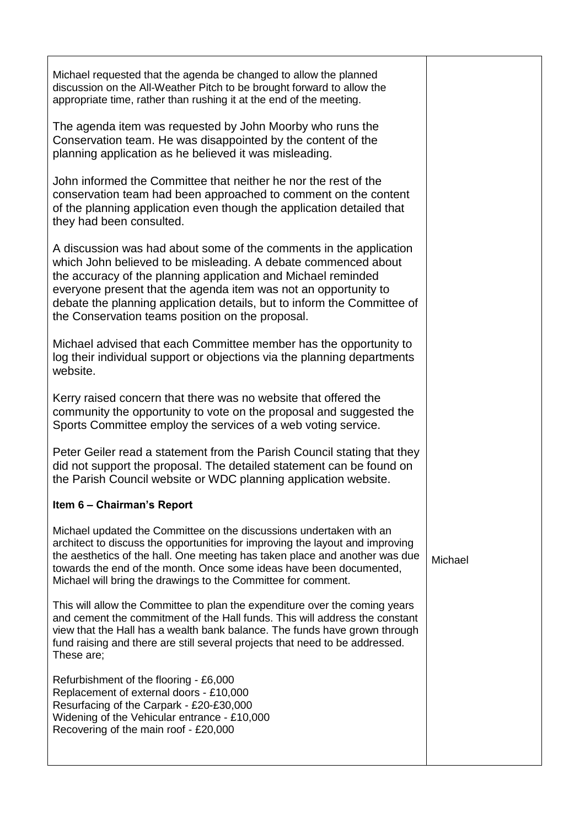Michael requested that the agenda be changed to allow the planned discussion on the All-Weather Pitch to be brought forward to allow the appropriate time, rather than rushing it at the end of the meeting.

The agenda item was requested by John Moorby who runs the Conservation team. He was disappointed by the content of the planning application as he believed it was misleading.

John informed the Committee that neither he nor the rest of the conservation team had been approached to comment on the content of the planning application even though the application detailed that they had been consulted.

A discussion was had about some of the comments in the application which John believed to be misleading. A debate commenced about the accuracy of the planning application and Michael reminded everyone present that the agenda item was not an opportunity to debate the planning application details, but to inform the Committee of the Conservation teams position on the proposal.

Michael advised that each Committee member has the opportunity to log their individual support or objections via the planning departments website.

Kerry raised concern that there was no website that offered the community the opportunity to vote on the proposal and suggested the Sports Committee employ the services of a web voting service.

Peter Geiler read a statement from the Parish Council stating that they did not support the proposal. The detailed statement can be found on the Parish Council website or WDC planning application website.

## **Item 6 – Chairman's Report**

Michael updated the Committee on the discussions undertaken with an architect to discuss the opportunities for improving the layout and improving the aesthetics of the hall. One meeting has taken place and another was due towards the end of the month. Once some ideas have been documented, Michael will bring the drawings to the Committee for comment.

This will allow the Committee to plan the expenditure over the coming years and cement the commitment of the Hall funds. This will address the constant view that the Hall has a wealth bank balance. The funds have grown through fund raising and there are still several projects that need to be addressed. These are;

Refurbishment of the flooring - £6,000 Replacement of external doors - £10,000 Resurfacing of the Carpark - £20-£30,000 Widening of the Vehicular entrance - £10,000 Recovering of the main roof - £20,000

Michael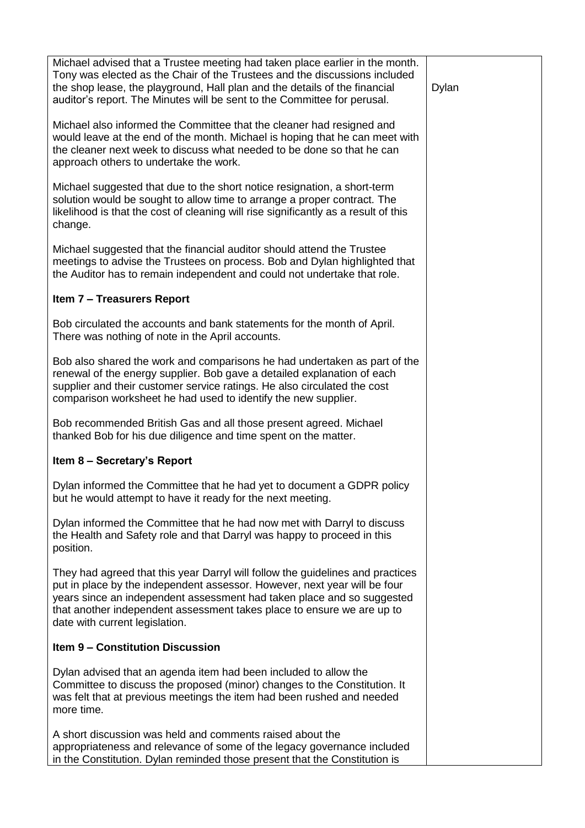Michael advised that a Trustee meeting had taken place earlier in the month. Tony was elected as the Chair of the Trustees and the discussions included the shop lease, the playground, Hall plan and the details of the financial auditor's report. The Minutes will be sent to the Committee for perusal.

Michael also informed the Committee that the cleaner had resigned and would leave at the end of the month. Michael is hoping that he can meet with the cleaner next week to discuss what needed to be done so that he can approach others to undertake the work.

Michael suggested that due to the short notice resignation, a short-term solution would be sought to allow time to arrange a proper contract. The likelihood is that the cost of cleaning will rise significantly as a result of this change.

Michael suggested that the financial auditor should attend the Trustee meetings to advise the Trustees on process. Bob and Dylan highlighted that the Auditor has to remain independent and could not undertake that role.

## **Item 7 – Treasurers Report**

Bob circulated the accounts and bank statements for the month of April. There was nothing of note in the April accounts.

Bob also shared the work and comparisons he had undertaken as part of the renewal of the energy supplier. Bob gave a detailed explanation of each supplier and their customer service ratings. He also circulated the cost comparison worksheet he had used to identify the new supplier.

Bob recommended British Gas and all those present agreed. Michael thanked Bob for his due diligence and time spent on the matter.

## **Item 8 – Secretary's Report**

Dylan informed the Committee that he had yet to document a GDPR policy but he would attempt to have it ready for the next meeting.

Dylan informed the Committee that he had now met with Darryl to discuss the Health and Safety role and that Darryl was happy to proceed in this position.

They had agreed that this year Darryl will follow the guidelines and practices put in place by the independent assessor. However, next year will be four years since an independent assessment had taken place and so suggested that another independent assessment takes place to ensure we are up to date with current legislation.

## **Item 9 – Constitution Discussion**

Dylan advised that an agenda item had been included to allow the Committee to discuss the proposed (minor) changes to the Constitution. It was felt that at previous meetings the item had been rushed and needed more time.

A short discussion was held and comments raised about the appropriateness and relevance of some of the legacy governance included in the Constitution. Dylan reminded those present that the Constitution is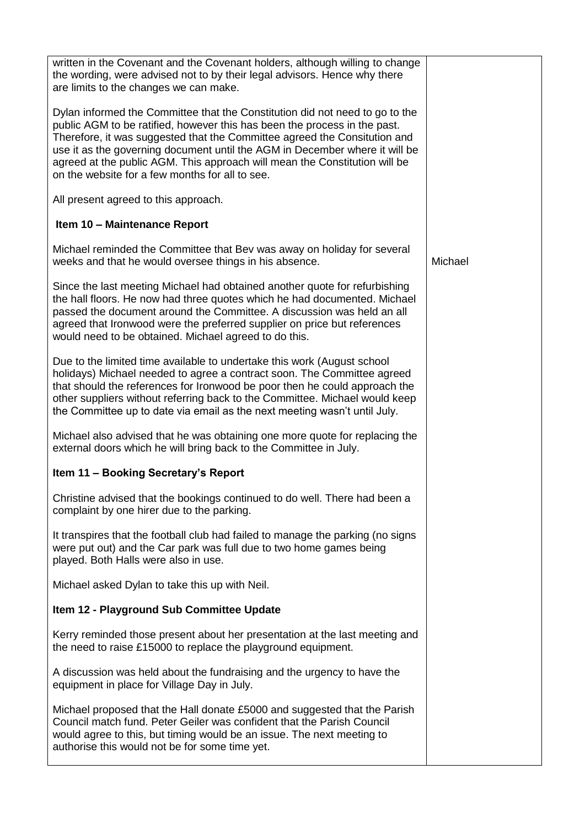| written in the Covenant and the Covenant holders, although willing to change<br>the wording, were advised not to by their legal advisors. Hence why there<br>are limits to the changes we can make.                                                                                                                                                                                                                                                    |         |
|--------------------------------------------------------------------------------------------------------------------------------------------------------------------------------------------------------------------------------------------------------------------------------------------------------------------------------------------------------------------------------------------------------------------------------------------------------|---------|
| Dylan informed the Committee that the Constitution did not need to go to the<br>public AGM to be ratified, however this has been the process in the past.<br>Therefore, it was suggested that the Committee agreed the Consitution and<br>use it as the governing document until the AGM in December where it will be<br>agreed at the public AGM. This approach will mean the Constitution will be<br>on the website for a few months for all to see. |         |
| All present agreed to this approach.                                                                                                                                                                                                                                                                                                                                                                                                                   |         |
| Item 10 - Maintenance Report                                                                                                                                                                                                                                                                                                                                                                                                                           |         |
| Michael reminded the Committee that Bev was away on holiday for several<br>weeks and that he would oversee things in his absence.                                                                                                                                                                                                                                                                                                                      | Michael |
| Since the last meeting Michael had obtained another quote for refurbishing<br>the hall floors. He now had three quotes which he had documented. Michael<br>passed the document around the Committee. A discussion was held an all<br>agreed that Ironwood were the preferred supplier on price but references<br>would need to be obtained. Michael agreed to do this.                                                                                 |         |
| Due to the limited time available to undertake this work (August school<br>holidays) Michael needed to agree a contract soon. The Committee agreed<br>that should the references for Ironwood be poor then he could approach the<br>other suppliers without referring back to the Committee. Michael would keep<br>the Committee up to date via email as the next meeting wasn't until July.                                                           |         |
| Michael also advised that he was obtaining one more quote for replacing the<br>external doors which he will bring back to the Committee in July.                                                                                                                                                                                                                                                                                                       |         |
| Item 11 - Booking Secretary's Report                                                                                                                                                                                                                                                                                                                                                                                                                   |         |
| Christine advised that the bookings continued to do well. There had been a<br>complaint by one hirer due to the parking.                                                                                                                                                                                                                                                                                                                               |         |
| It transpires that the football club had failed to manage the parking (no signs<br>were put out) and the Car park was full due to two home games being<br>played. Both Halls were also in use.                                                                                                                                                                                                                                                         |         |
| Michael asked Dylan to take this up with Neil.                                                                                                                                                                                                                                                                                                                                                                                                         |         |
| Item 12 - Playground Sub Committee Update                                                                                                                                                                                                                                                                                                                                                                                                              |         |
| Kerry reminded those present about her presentation at the last meeting and<br>the need to raise £15000 to replace the playground equipment.                                                                                                                                                                                                                                                                                                           |         |
| A discussion was held about the fundraising and the urgency to have the<br>equipment in place for Village Day in July.                                                                                                                                                                                                                                                                                                                                 |         |
| Michael proposed that the Hall donate £5000 and suggested that the Parish<br>Council match fund. Peter Geiler was confident that the Parish Council<br>would agree to this, but timing would be an issue. The next meeting to<br>authorise this would not be for some time yet.                                                                                                                                                                        |         |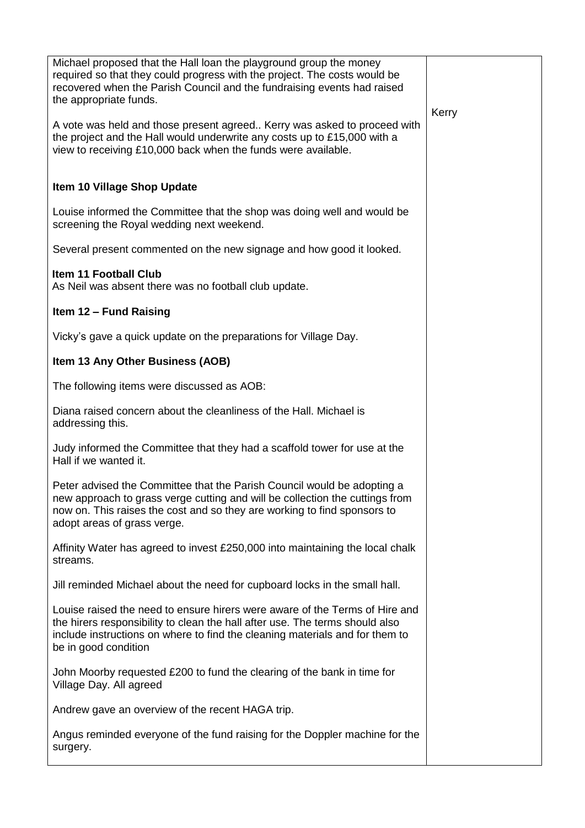| Michael proposed that the Hall loan the playground group the money<br>required so that they could progress with the project. The costs would be<br>recovered when the Parish Council and the fundraising events had raised<br>the appropriate funds.<br>A vote was held and those present agreed Kerry was asked to proceed with<br>the project and the Hall would underwrite any costs up to £15,000 with a<br>view to receiving £10,000 back when the funds were available. | Kerry |
|-------------------------------------------------------------------------------------------------------------------------------------------------------------------------------------------------------------------------------------------------------------------------------------------------------------------------------------------------------------------------------------------------------------------------------------------------------------------------------|-------|
| Item 10 Village Shop Update                                                                                                                                                                                                                                                                                                                                                                                                                                                   |       |
| Louise informed the Committee that the shop was doing well and would be<br>screening the Royal wedding next weekend.                                                                                                                                                                                                                                                                                                                                                          |       |
| Several present commented on the new signage and how good it looked.                                                                                                                                                                                                                                                                                                                                                                                                          |       |
| <b>Item 11 Football Club</b><br>As Neil was absent there was no football club update.                                                                                                                                                                                                                                                                                                                                                                                         |       |
| Item 12 - Fund Raising                                                                                                                                                                                                                                                                                                                                                                                                                                                        |       |
| Vicky's gave a quick update on the preparations for Village Day.                                                                                                                                                                                                                                                                                                                                                                                                              |       |
| Item 13 Any Other Business (AOB)                                                                                                                                                                                                                                                                                                                                                                                                                                              |       |
| The following items were discussed as AOB:                                                                                                                                                                                                                                                                                                                                                                                                                                    |       |
| Diana raised concern about the cleanliness of the Hall. Michael is<br>addressing this.                                                                                                                                                                                                                                                                                                                                                                                        |       |
| Judy informed the Committee that they had a scaffold tower for use at the<br>Hall if we wanted it.                                                                                                                                                                                                                                                                                                                                                                            |       |
| Peter advised the Committee that the Parish Council would be adopting a<br>new approach to grass verge cutting and will be collection the cuttings from<br>now on. This raises the cost and so they are working to find sponsors to<br>adopt areas of grass verge.                                                                                                                                                                                                            |       |
| Affinity Water has agreed to invest £250,000 into maintaining the local chalk<br>streams.                                                                                                                                                                                                                                                                                                                                                                                     |       |
| Jill reminded Michael about the need for cupboard locks in the small hall.                                                                                                                                                                                                                                                                                                                                                                                                    |       |
| Louise raised the need to ensure hirers were aware of the Terms of Hire and<br>the hirers responsibility to clean the hall after use. The terms should also<br>include instructions on where to find the cleaning materials and for them to<br>be in good condition                                                                                                                                                                                                           |       |
| John Moorby requested £200 to fund the clearing of the bank in time for<br>Village Day. All agreed                                                                                                                                                                                                                                                                                                                                                                            |       |
| Andrew gave an overview of the recent HAGA trip.                                                                                                                                                                                                                                                                                                                                                                                                                              |       |
| Angus reminded everyone of the fund raising for the Doppler machine for the<br>surgery.                                                                                                                                                                                                                                                                                                                                                                                       |       |
|                                                                                                                                                                                                                                                                                                                                                                                                                                                                               |       |